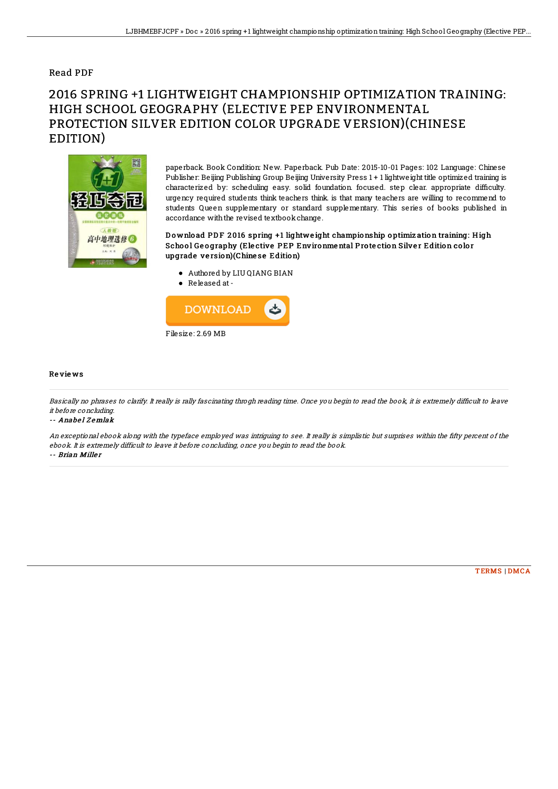## Read PDF

# 2016 SPRING +1 LIGHTWEIGHT CHAMPIONSHIP OPTIMIZATION TRAINING: HIGH SCHOOL GEOGRAPHY (ELECTIVE PEP ENVIRONMENTAL PROTECTION SILVER EDITION COLOR UPGRADE VERSION)(CHINESE EDITION)



paperback. Book Condition: New. Paperback. Pub Date: 2015-10-01 Pages: 102 Language: Chinese Publisher: Beijing Publishing Group Beijing University Press 1 + 1 lightweight title optimized training is characterized by: scheduling easy. solid foundation focused. step clear. appropriate difficulty. urgency required students think teachers think. is that many teachers are willing to recommend to students Queen supplementary or standard supplementary. This series of books published in accordance with the revised textbook change.

### Download PDF 2016 spring +1 lightweight championship optimization training: High School Geography (Elective PEP Environmental Protection Silver Edition color upgrade ve rsion)(Chine se Edition)

- Authored by LIU QIANG BIAN
- Released at-



#### Re vie ws

Basically no phrases to clarify. It really is rally fascinating throgh reading time. Once you begin to read the book, it is extremely difficult to leave it before concluding.

#### -- Anabel Zemlak

An exceptional ebook along with the typeface employed was intriguing to see. It really is simplistic but surprises within the fifty percent of the ebook. It is extremely difficult to leave it before concluding, once you begin to read the book. -- Brian Miller